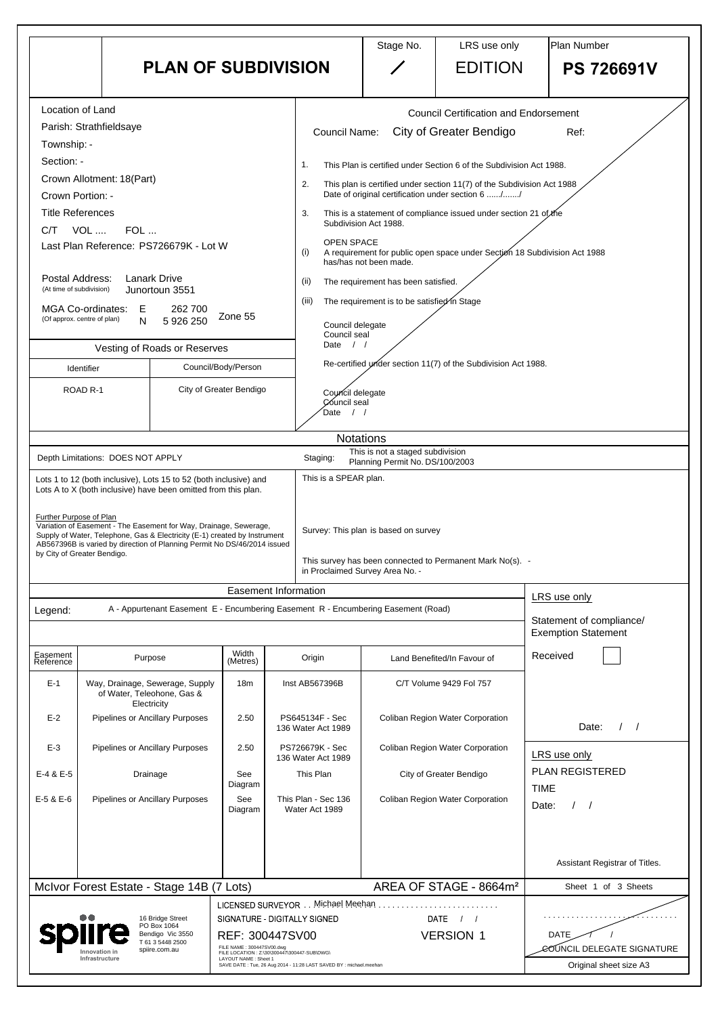|                                                                       |                                                                                                                                                       |                                                                           |                                                 |                |                                                                                                                                                                                                                | Stage No.                                                                         | LRS use only                                              | <b>Plan Number</b>                                     |  |  |  |
|-----------------------------------------------------------------------|-------------------------------------------------------------------------------------------------------------------------------------------------------|---------------------------------------------------------------------------|-------------------------------------------------|----------------|----------------------------------------------------------------------------------------------------------------------------------------------------------------------------------------------------------------|-----------------------------------------------------------------------------------|-----------------------------------------------------------|--------------------------------------------------------|--|--|--|
|                                                                       |                                                                                                                                                       | <b>PLAN OF SUBDIVISION</b>                                                |                                                 |                |                                                                                                                                                                                                                |                                                                                   | <b>EDITION</b>                                            | <b>PS 726691V</b>                                      |  |  |  |
|                                                                       | Location of Land                                                                                                                                      |                                                                           |                                                 |                |                                                                                                                                                                                                                |                                                                                   | <b>Council Certification and Endorsement</b>              |                                                        |  |  |  |
|                                                                       | Parish: Strathfieldsaye                                                                                                                               |                                                                           |                                                 |                | <b>Council Name:</b>                                                                                                                                                                                           |                                                                                   | City of Greater Bendigo                                   | Ref:                                                   |  |  |  |
| Township: -                                                           |                                                                                                                                                       |                                                                           |                                                 |                | This Plan is certified under Section 6 of the Subdivision Act 1988.<br>1.<br>2.<br>This plan is certified under section 11(7) of the Subdivision Act 1988<br>Date of original certification under section 6 // |                                                                                   |                                                           |                                                        |  |  |  |
| Section: -                                                            |                                                                                                                                                       |                                                                           |                                                 |                |                                                                                                                                                                                                                |                                                                                   |                                                           |                                                        |  |  |  |
|                                                                       | Crown Allotment: 18(Part)<br>Crown Portion: -                                                                                                         |                                                                           |                                                 |                |                                                                                                                                                                                                                |                                                                                   |                                                           |                                                        |  |  |  |
|                                                                       | <b>Title References</b>                                                                                                                               |                                                                           |                                                 |                | 3.                                                                                                                                                                                                             |                                                                                   |                                                           |                                                        |  |  |  |
| C/T                                                                   | VOL<br>FOL                                                                                                                                            |                                                                           |                                                 |                | This is a statement of compliance issued under section 21 of the<br>Subdivision Act 1988.                                                                                                                      |                                                                                   |                                                           |                                                        |  |  |  |
|                                                                       | Last Plan Reference: PS726679K - Lot W                                                                                                                |                                                                           |                                                 |                | <b>OPEN SPACE</b><br>A requirement for public open space under Section 18 Subdivision Act 1988<br>(i)<br>has/has not been made.                                                                                |                                                                                   |                                                           |                                                        |  |  |  |
| (At time of subdivision)                                              | Postal Address:<br><b>Lanark Drive</b><br>Junortoun 3551                                                                                              |                                                                           |                                                 |                | (ii)                                                                                                                                                                                                           | The requirement has been satisfied.                                               |                                                           |                                                        |  |  |  |
|                                                                       | <b>MGA Co-ordinates:</b><br>Ε                                                                                                                         | 262 700                                                                   |                                                 |                | The requirement is to be satisfied in Stage<br>(iii)<br>Council delegate<br>Council seal<br>Date<br>$\frac{1}{2}$<br>Re-certified under section 11(7) of the Subdivision Act 1988.                             |                                                                                   |                                                           |                                                        |  |  |  |
|                                                                       | (Of approx. centre of plan)<br>N                                                                                                                      | 5 926 250                                                                 | Zone 55                                         |                |                                                                                                                                                                                                                |                                                                                   |                                                           |                                                        |  |  |  |
|                                                                       | Vesting of Roads or Reserves                                                                                                                          |                                                                           |                                                 |                |                                                                                                                                                                                                                |                                                                                   |                                                           |                                                        |  |  |  |
|                                                                       | Identifier                                                                                                                                            |                                                                           | Council/Body/Person                             |                |                                                                                                                                                                                                                |                                                                                   |                                                           |                                                        |  |  |  |
| City of Greater Bendigo<br>ROAD <sub>R-1</sub>                        |                                                                                                                                                       |                                                                           | Council delegate<br>Council seal<br>Date        |                |                                                                                                                                                                                                                |                                                                                   |                                                           |                                                        |  |  |  |
|                                                                       |                                                                                                                                                       |                                                                           |                                                 |                |                                                                                                                                                                                                                | <b>Notations</b>                                                                  |                                                           |                                                        |  |  |  |
|                                                                       | Depth Limitations: DOES NOT APPLY                                                                                                                     |                                                                           |                                                 |                | Staging:                                                                                                                                                                                                       | This is not a staged subdivision<br>Planning Permit No. DS/100/2003               |                                                           |                                                        |  |  |  |
|                                                                       | Lots 1 to 12 (both inclusive), Lots 15 to 52 (both inclusive) and                                                                                     |                                                                           |                                                 |                | This is a SPEAR plan.                                                                                                                                                                                          |                                                                                   |                                                           |                                                        |  |  |  |
|                                                                       | Lots A to X (both inclusive) have been omitted from this plan.                                                                                        |                                                                           |                                                 |                |                                                                                                                                                                                                                |                                                                                   |                                                           |                                                        |  |  |  |
|                                                                       | Further Purpose of Plan<br>Variation of Easement - The Easement for Way, Drainage, Sewerage,                                                          |                                                                           |                                                 |                |                                                                                                                                                                                                                |                                                                                   |                                                           |                                                        |  |  |  |
|                                                                       | Supply of Water, Telephone, Gas & Electricity (E-1) created by Instrument<br>AB567396B is varied by direction of Planning Permit No DS/46/2014 issued |                                                                           |                                                 |                | Survey: This plan is based on survey                                                                                                                                                                           |                                                                                   |                                                           |                                                        |  |  |  |
|                                                                       | by City of Greater Bendigo.                                                                                                                           |                                                                           |                                                 |                |                                                                                                                                                                                                                | in Proclaimed Survey Area No. -                                                   | This survey has been connected to Permanent Mark No(s). - |                                                        |  |  |  |
|                                                                       |                                                                                                                                                       |                                                                           | <b>Easement Information</b>                     |                |                                                                                                                                                                                                                |                                                                                   |                                                           |                                                        |  |  |  |
| Legend:                                                               |                                                                                                                                                       |                                                                           |                                                 |                |                                                                                                                                                                                                                | A - Appurtenant Easement E - Encumbering Easement R - Encumbering Easement (Road) |                                                           | LRS use only                                           |  |  |  |
|                                                                       |                                                                                                                                                       |                                                                           |                                                 |                |                                                                                                                                                                                                                |                                                                                   |                                                           | Statement of compliance/<br><b>Exemption Statement</b> |  |  |  |
|                                                                       |                                                                                                                                                       |                                                                           | Width                                           |                |                                                                                                                                                                                                                |                                                                                   |                                                           |                                                        |  |  |  |
| Easement<br>Reference                                                 | Purpose                                                                                                                                               |                                                                           | (Metres)                                        |                | Origin                                                                                                                                                                                                         |                                                                                   | Land Benefited/In Favour of                               | Received                                               |  |  |  |
| $E-1$                                                                 | Way, Drainage, Sewerage, Supply<br>of Water, Teleohone, Gas &<br>Electricity                                                                          |                                                                           | 18m                                             | Inst AB567396B |                                                                                                                                                                                                                |                                                                                   | C/T Volume 9429 Fol 757                                   |                                                        |  |  |  |
| $E-2$                                                                 | Pipelines or Ancillary Purposes                                                                                                                       |                                                                           | 2.50                                            |                | PS645134F - Sec<br>136 Water Act 1989                                                                                                                                                                          |                                                                                   | Coliban Region Water Corporation                          | Date:                                                  |  |  |  |
| $E-3$                                                                 | <b>Pipelines or Ancillary Purposes</b>                                                                                                                |                                                                           | 2.50                                            |                | PS726679K - Sec<br>136 Water Act 1989                                                                                                                                                                          |                                                                                   | <b>Coliban Region Water Corporation</b>                   | LRS use only                                           |  |  |  |
| E-4 & E-5                                                             | Drainage                                                                                                                                              |                                                                           | See<br>Diagram                                  | This Plan      |                                                                                                                                                                                                                |                                                                                   | City of Greater Bendigo                                   | <b>PLAN REGISTERED</b><br><b>TIME</b>                  |  |  |  |
| <b>Pipelines or Ancillary Purposes</b><br>E-5 & E-6<br>See<br>Diagram |                                                                                                                                                       | Coliban Region Water Corporation<br>This Plan - Sec 136<br>Water Act 1989 |                                                 |                | Date:<br>$\sqrt{ }$                                                                                                                                                                                            |                                                                                   |                                                           |                                                        |  |  |  |
|                                                                       |                                                                                                                                                       |                                                                           |                                                 |                |                                                                                                                                                                                                                |                                                                                   |                                                           | Assistant Registrar of Titles.                         |  |  |  |
|                                                                       |                                                                                                                                                       |                                                                           |                                                 |                |                                                                                                                                                                                                                |                                                                                   |                                                           |                                                        |  |  |  |
|                                                                       |                                                                                                                                                       |                                                                           |                                                 |                |                                                                                                                                                                                                                |                                                                                   |                                                           | Sheet 1 of 3 Sheets                                    |  |  |  |
|                                                                       | McIvor Forest Estate - Stage 14B (7 Lots)                                                                                                             |                                                                           |                                                 |                | LICENSED SURVEYOR Michael Meehan                                                                                                                                                                               |                                                                                   | AREA OF STAGE - 8664m <sup>2</sup>                        |                                                        |  |  |  |
|                                                                       | 16 Bridge Street<br>PO Box 1064                                                                                                                       | Bendigo Vic 3550                                                          | SIGNATURE - DIGITALLY SIGNED<br>REF: 300447SV00 |                |                                                                                                                                                                                                                |                                                                                   | <b>DATE</b><br><b>VERSION 1</b>                           | <b>DATE</b>                                            |  |  |  |

| E-4 & E-5                                               |                         | Drainage                                                | See<br>Diagram                                                                            | This Plan                                                       | City of Greater Bendigo            | PLAN REGISTERED<br><b>TIME</b>            |
|---------------------------------------------------------|-------------------------|---------------------------------------------------------|-------------------------------------------------------------------------------------------|-----------------------------------------------------------------|------------------------------------|-------------------------------------------|
| $E-5$ & $E-6$<br><b>Pipelines or Ancillary Purposes</b> |                         | See<br>This Plan - Sec 136<br>Diagram<br>Water Act 1989 |                                                                                           | <b>Coliban Region Water Corporation</b>                         | Date:                              |                                           |
|                                                         |                         |                                                         |                                                                                           |                                                                 |                                    |                                           |
|                                                         |                         |                                                         |                                                                                           |                                                                 |                                    | Assistant Registrar of Titles.            |
|                                                         |                         | McIvor Forest Estate - Stage 14B (7 Lots)               |                                                                                           |                                                                 | AREA OF STAGE - 8664m <sup>2</sup> | 3 Sheets<br>Sheet 1<br>of                 |
| $\bullet\bullet$                                        |                         | 16 Bridge Street<br>PO Box 1064                         | LICENSED SURVEYOR Michael Meehan<br>SIGNATURE - DIGITALLY SIGNED                          |                                                                 | <b>DATE</b>                        |                                           |
|                                                         | spiire<br>Innovation in | Bendigo Vic 3550<br>T 61 3 5448 2500<br>spiire.com.au   | FILE NAME: 300447SV00.dwg                                                                 | REF: 300447SV00<br>FILE LOCATION : Z:\30\300447\300447-SUB\DWG\ | <b>VERSION 1</b>                   | <b>DATE</b><br>COUNCIL DELEGATE SIGNATURE |
|                                                         | Infrastructure          |                                                         | LAYOUT NAME: Sheet 1<br>SAVE DATE: Tue, 26 Aug 2014 - 11:28 LAST SAVED BY: michael.meehan |                                                                 |                                    | Original sheet size A3                    |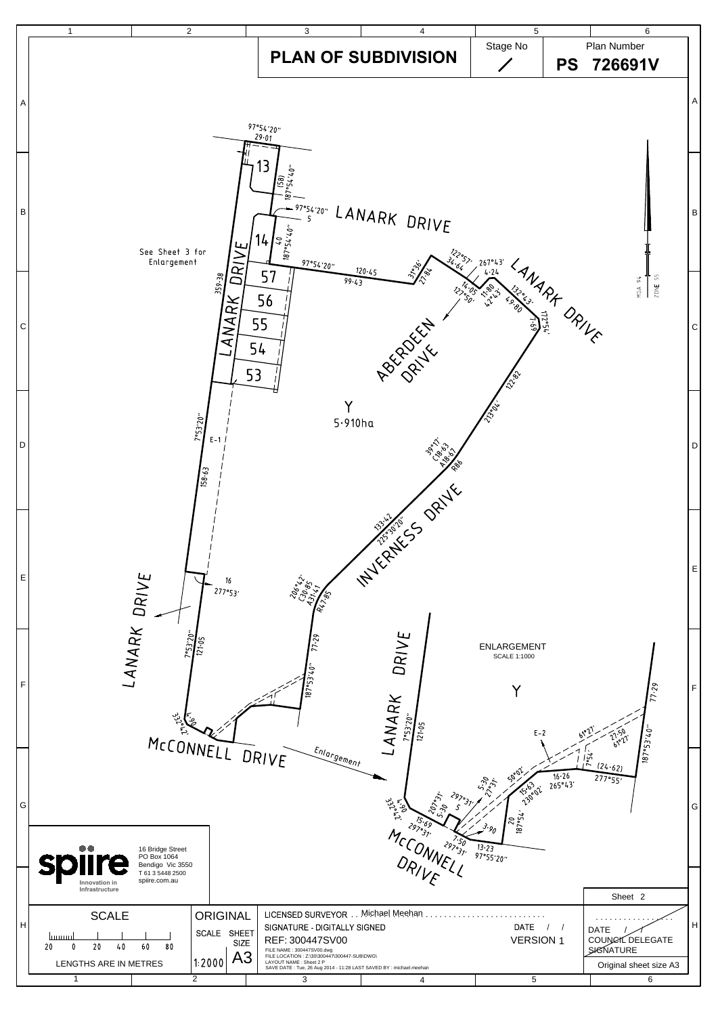

| G  |                                                                                                                                                        |                                                                                          |  |                                                                                                                                                                                                                                                          | ಀೢೢ<br>Q,<br>يج<br>-2970. | 50°02<br>16.26<br>5.37.<br>265°43'<br>562<br>130°02<br>$\frac{20}{187°54}$ | (24.62)<br>277°55'                                                            | G |
|----|--------------------------------------------------------------------------------------------------------------------------------------------------------|------------------------------------------------------------------------------------------|--|----------------------------------------------------------------------------------------------------------------------------------------------------------------------------------------------------------------------------------------------------------|---------------------------|----------------------------------------------------------------------------|-------------------------------------------------------------------------------|---|
|    | $\bullet\bullet$<br><b>Splire</b><br>Innovation in<br>Infrastructure                                                                                   | 16 Bridge Street<br>PO Box 1064<br>Bendigo Vic 3550<br>T 61 3 5448 2500<br>spiire.com.au |  |                                                                                                                                                                                                                                                          | 297031                    | 13.23<br>97°55'20"                                                         | Sheet 2                                                                       |   |
| lн | <b>SCALE</b><br><b>ORIGINAL</b><br>SCALE<br><b>SHEET</b><br>lmum<br><b>SIZE</b><br>20<br>60<br>80<br>20<br>40<br>A3<br>1:2000<br>LENGTHS ARE IN METRES |                                                                                          |  | <b>LICENSED SURVEYOR</b><br>SIGNATURE - DIGITALLY SIGNED<br>REF: 300447SV00<br>FILE NAME: 300447SV00.dwg<br>FILE LOCATION : Z:\30\300447\300447-SUB\DWG\<br>LAYOUT NAME : Sheet 2 P<br>SAVE DATE: Tue, 26 Aug 2014 - 11:28 LAST SAVED BY: michael.meehan | Michael Meehan            | DATE<br><b>VERSION 1</b>                                                   | <b>DATE</b><br>COUNCIL DELEGATE<br><b>SIGNATURE</b><br>Original sheet size A3 | H |
|    |                                                                                                                                                        | $\overline{2}$                                                                           |  |                                                                                                                                                                                                                                                          |                           | 5                                                                          | 6                                                                             |   |